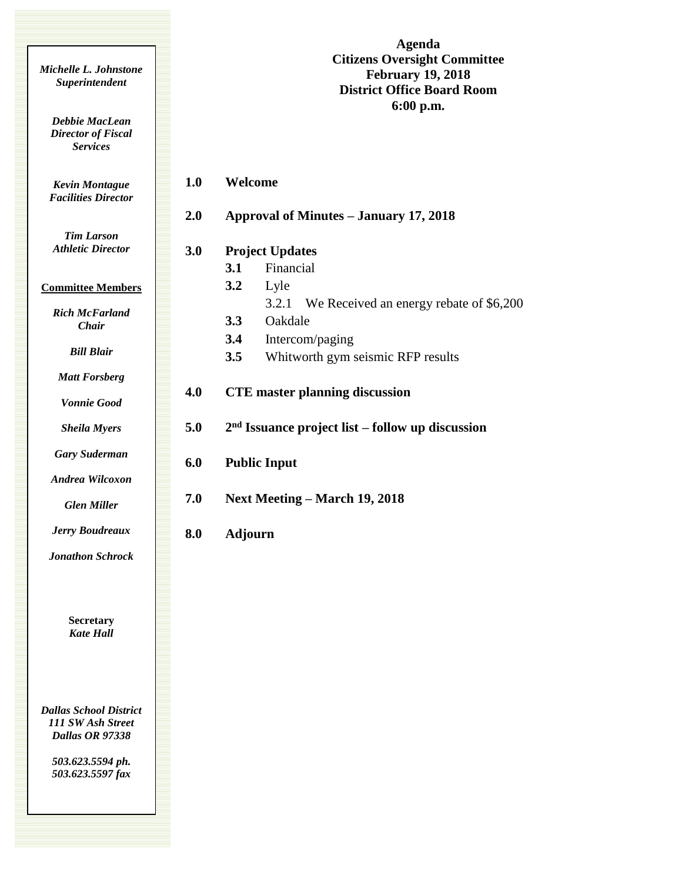| Michelle L. Johnstone<br>Superintendent                        |     | Agenda<br><b>Citizens Oversight Committee</b><br><b>February 19, 2018</b><br><b>District Office Board Room</b> |
|----------------------------------------------------------------|-----|----------------------------------------------------------------------------------------------------------------|
| Debbie MacLean<br><b>Director of Fiscal</b><br><b>Services</b> |     | $6:00$ p.m.                                                                                                    |
| <b>Kevin Montague</b><br><b>Facilities Director</b>            | 1.0 | Welcome                                                                                                        |
|                                                                | 2.0 | <b>Approval of Minutes - January 17, 2018</b>                                                                  |
| <b>Tim Larson</b><br><b>Athletic Director</b>                  | 3.0 | <b>Project Updates</b><br>Financial<br>3.1                                                                     |
| <b>Committee Members</b>                                       |     | 3.2<br>Lyle                                                                                                    |
| <b>Rich McFarland</b><br>Chair                                 |     | We Received an energy rebate of \$6,200<br>3.2.1<br>3.3<br>Oakdale                                             |
| <b>Bill Blair</b>                                              |     | 3.4<br>Intercom/paging<br>Whitworth gym seismic RFP results<br>3.5                                             |
| <b>Matt Forsberg</b><br><b>Vonnie Good</b>                     | 4.0 | <b>CTE</b> master planning discussion                                                                          |
| <b>Sheila Myers</b>                                            | 5.0 | $2nd$ Issuance project list – follow up discussion                                                             |
| <b>Gary Suderman</b>                                           | 6.0 | <b>Public Input</b>                                                                                            |
| Andrea Wilcoxon<br><b>Glen Miller</b>                          | 7.0 | <b>Next Meeting – March 19, 2018</b>                                                                           |
| <b>Jerry Boudreaux</b>                                         | 8.0 | <b>Adjourn</b>                                                                                                 |
| <b>Jonathon Schrock</b>                                        |     |                                                                                                                |
| <b>Secretary</b>                                               |     |                                                                                                                |

*Dallas School District 111 SW Ash Street Dallas OR 97338*

*Kate Hall*

*503.623.5594 ph. 503.623.5597 fax*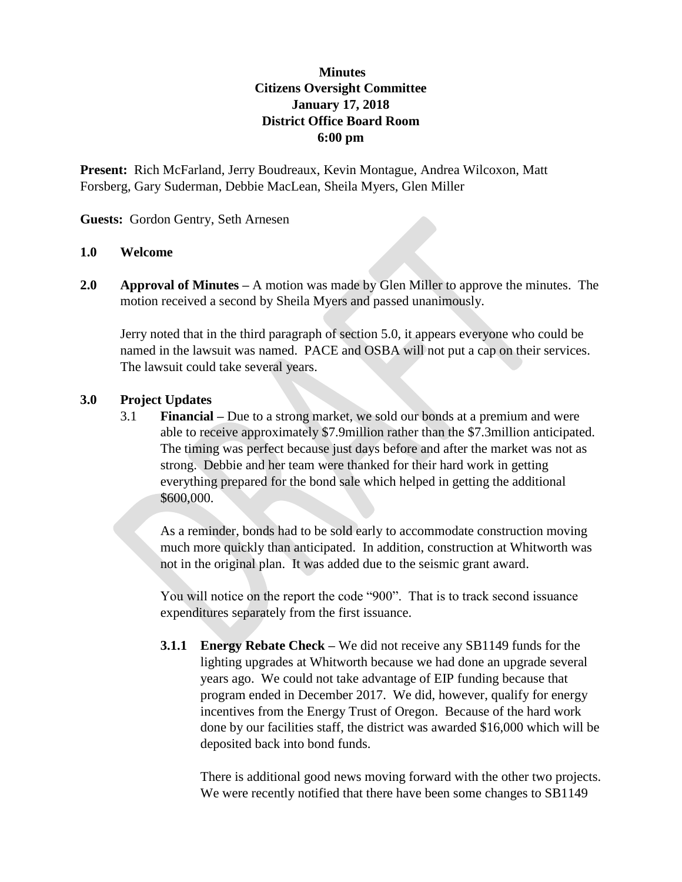## **Minutes Citizens Oversight Committee January 17, 2018 District Office Board Room 6:00 pm**

**Present:** Rich McFarland, Jerry Boudreaux, Kevin Montague, Andrea Wilcoxon, Matt Forsberg, Gary Suderman, Debbie MacLean, Sheila Myers, Glen Miller

**Guests:** Gordon Gentry, Seth Arnesen

## **1.0 Welcome**

**2.0 Approval of Minutes –** A motion was made by Glen Miller to approve the minutes. The motion received a second by Sheila Myers and passed unanimously.

Jerry noted that in the third paragraph of section 5.0, it appears everyone who could be named in the lawsuit was named. PACE and OSBA will not put a cap on their services. The lawsuit could take several years.

## **3.0 Project Updates**

3.1 **Financial –** Due to a strong market, we sold our bonds at a premium and were able to receive approximately \$7.9million rather than the \$7.3million anticipated. The timing was perfect because just days before and after the market was not as strong. Debbie and her team were thanked for their hard work in getting everything prepared for the bond sale which helped in getting the additional \$600,000.

As a reminder, bonds had to be sold early to accommodate construction moving much more quickly than anticipated. In addition, construction at Whitworth was not in the original plan. It was added due to the seismic grant award.

You will notice on the report the code "900". That is to track second issuance expenditures separately from the first issuance.

**3.1.1 Energy Rebate Check –** We did not receive any SB1149 funds for the lighting upgrades at Whitworth because we had done an upgrade several years ago. We could not take advantage of EIP funding because that program ended in December 2017. We did, however, qualify for energy incentives from the Energy Trust of Oregon. Because of the hard work done by our facilities staff, the district was awarded \$16,000 which will be deposited back into bond funds.

There is additional good news moving forward with the other two projects. We were recently notified that there have been some changes to SB1149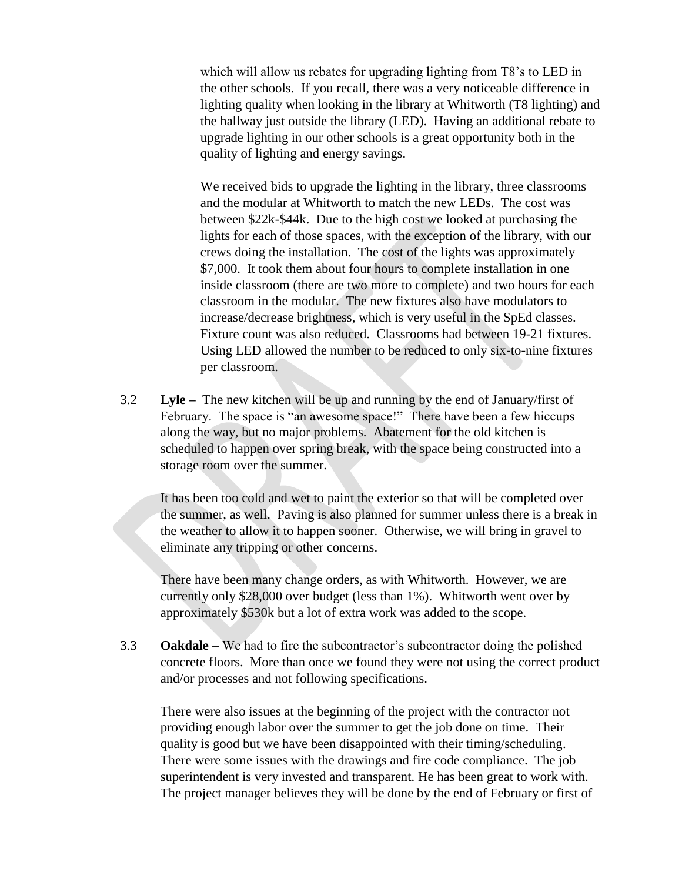which will allow us rebates for upgrading lighting from T8's to LED in the other schools. If you recall, there was a very noticeable difference in lighting quality when looking in the library at Whitworth (T8 lighting) and the hallway just outside the library (LED). Having an additional rebate to upgrade lighting in our other schools is a great opportunity both in the quality of lighting and energy savings.

We received bids to upgrade the lighting in the library, three classrooms and the modular at Whitworth to match the new LEDs. The cost was between \$22k-\$44k. Due to the high cost we looked at purchasing the lights for each of those spaces, with the exception of the library, with our crews doing the installation. The cost of the lights was approximately \$7,000. It took them about four hours to complete installation in one inside classroom (there are two more to complete) and two hours for each classroom in the modular. The new fixtures also have modulators to increase/decrease brightness, which is very useful in the SpEd classes. Fixture count was also reduced. Classrooms had between 19-21 fixtures. Using LED allowed the number to be reduced to only six-to-nine fixtures per classroom.

3.2 **Lyle –** The new kitchen will be up and running by the end of January/first of February. The space is "an awesome space!" There have been a few hiccups along the way, but no major problems. Abatement for the old kitchen is scheduled to happen over spring break, with the space being constructed into a storage room over the summer.

It has been too cold and wet to paint the exterior so that will be completed over the summer, as well. Paving is also planned for summer unless there is a break in the weather to allow it to happen sooner. Otherwise, we will bring in gravel to eliminate any tripping or other concerns.

There have been many change orders, as with Whitworth. However, we are currently only \$28,000 over budget (less than 1%). Whitworth went over by approximately \$530k but a lot of extra work was added to the scope.

3.3 **Oakdale –** We had to fire the subcontractor's subcontractor doing the polished concrete floors. More than once we found they were not using the correct product and/or processes and not following specifications.

There were also issues at the beginning of the project with the contractor not providing enough labor over the summer to get the job done on time. Their quality is good but we have been disappointed with their timing/scheduling. There were some issues with the drawings and fire code compliance. The job superintendent is very invested and transparent. He has been great to work with. The project manager believes they will be done by the end of February or first of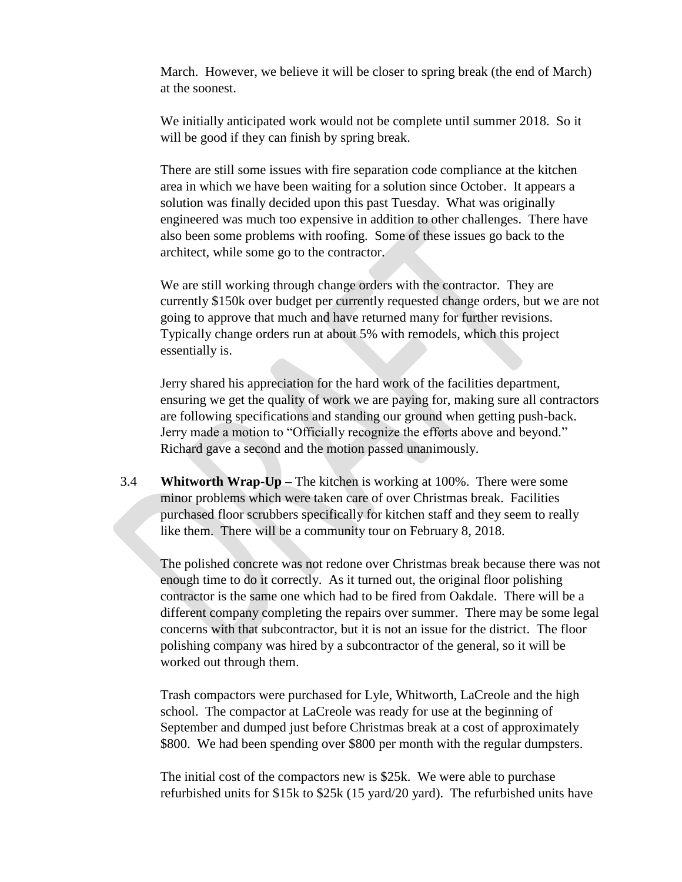March. However, we believe it will be closer to spring break (the end of March) at the soonest.

We initially anticipated work would not be complete until summer 2018. So it will be good if they can finish by spring break.

There are still some issues with fire separation code compliance at the kitchen area in which we have been waiting for a solution since October. It appears a solution was finally decided upon this past Tuesday. What was originally engineered was much too expensive in addition to other challenges. There have also been some problems with roofing. Some of these issues go back to the architect, while some go to the contractor.

We are still working through change orders with the contractor. They are currently \$150k over budget per currently requested change orders, but we are not going to approve that much and have returned many for further revisions. Typically change orders run at about 5% with remodels, which this project essentially is.

Jerry shared his appreciation for the hard work of the facilities department, ensuring we get the quality of work we are paying for, making sure all contractors are following specifications and standing our ground when getting push-back. Jerry made a motion to "Officially recognize the efforts above and beyond." Richard gave a second and the motion passed unanimously.

3.4 **Whitworth Wrap-Up –** The kitchen is working at 100%. There were some minor problems which were taken care of over Christmas break. Facilities purchased floor scrubbers specifically for kitchen staff and they seem to really like them. There will be a community tour on February 8, 2018.

The polished concrete was not redone over Christmas break because there was not enough time to do it correctly. As it turned out, the original floor polishing contractor is the same one which had to be fired from Oakdale. There will be a different company completing the repairs over summer. There may be some legal concerns with that subcontractor, but it is not an issue for the district. The floor polishing company was hired by a subcontractor of the general, so it will be worked out through them.

Trash compactors were purchased for Lyle, Whitworth, LaCreole and the high school. The compactor at LaCreole was ready for use at the beginning of September and dumped just before Christmas break at a cost of approximately \$800. We had been spending over \$800 per month with the regular dumpsters.

The initial cost of the compactors new is \$25k. We were able to purchase refurbished units for \$15k to \$25k (15 yard/20 yard). The refurbished units have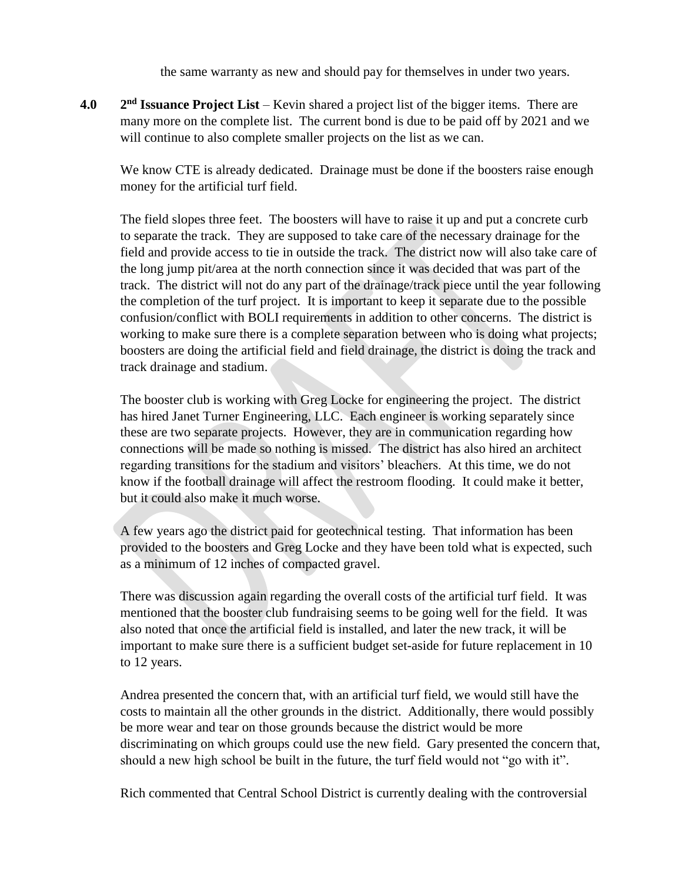the same warranty as new and should pay for themselves in under two years.

**4.0 2** 2<sup>nd</sup> **Issuance Project List** – Kevin shared a project list of the bigger items. There are many more on the complete list. The current bond is due to be paid off by 2021 and we will continue to also complete smaller projects on the list as we can.

We know CTE is already dedicated. Drainage must be done if the boosters raise enough money for the artificial turf field.

The field slopes three feet. The boosters will have to raise it up and put a concrete curb to separate the track. They are supposed to take care of the necessary drainage for the field and provide access to tie in outside the track. The district now will also take care of the long jump pit/area at the north connection since it was decided that was part of the track. The district will not do any part of the drainage/track piece until the year following the completion of the turf project. It is important to keep it separate due to the possible confusion/conflict with BOLI requirements in addition to other concerns. The district is working to make sure there is a complete separation between who is doing what projects; boosters are doing the artificial field and field drainage, the district is doing the track and track drainage and stadium.

The booster club is working with Greg Locke for engineering the project. The district has hired Janet Turner Engineering, LLC. Each engineer is working separately since these are two separate projects. However, they are in communication regarding how connections will be made so nothing is missed. The district has also hired an architect regarding transitions for the stadium and visitors' bleachers. At this time, we do not know if the football drainage will affect the restroom flooding. It could make it better, but it could also make it much worse.

A few years ago the district paid for geotechnical testing. That information has been provided to the boosters and Greg Locke and they have been told what is expected, such as a minimum of 12 inches of compacted gravel.

There was discussion again regarding the overall costs of the artificial turf field. It was mentioned that the booster club fundraising seems to be going well for the field. It was also noted that once the artificial field is installed, and later the new track, it will be important to make sure there is a sufficient budget set-aside for future replacement in 10 to 12 years.

Andrea presented the concern that, with an artificial turf field, we would still have the costs to maintain all the other grounds in the district. Additionally, there would possibly be more wear and tear on those grounds because the district would be more discriminating on which groups could use the new field. Gary presented the concern that, should a new high school be built in the future, the turf field would not "go with it".

Rich commented that Central School District is currently dealing with the controversial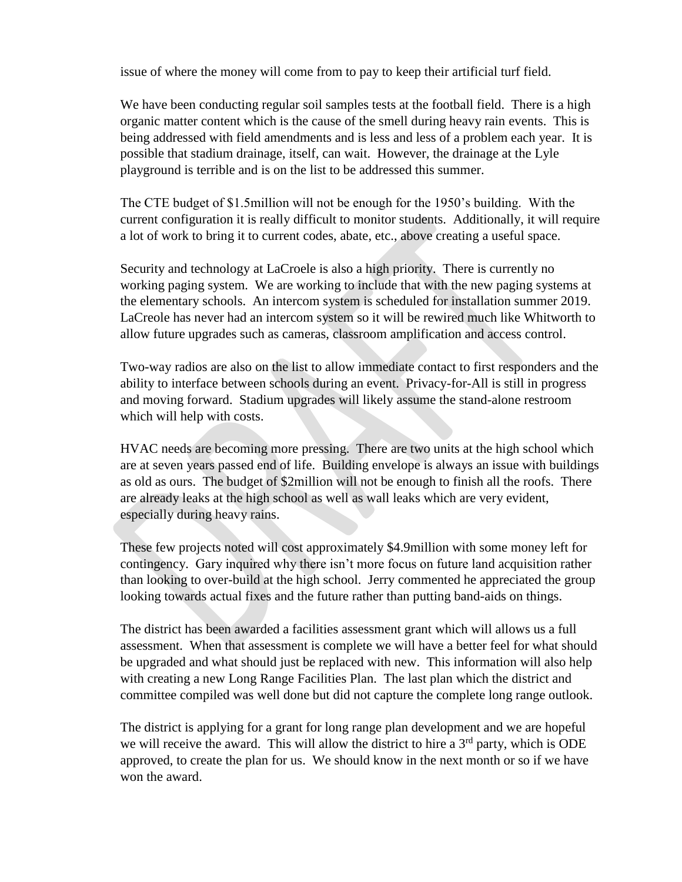issue of where the money will come from to pay to keep their artificial turf field.

We have been conducting regular soil samples tests at the football field. There is a high organic matter content which is the cause of the smell during heavy rain events. This is being addressed with field amendments and is less and less of a problem each year. It is possible that stadium drainage, itself, can wait. However, the drainage at the Lyle playground is terrible and is on the list to be addressed this summer.

The CTE budget of \$1.5million will not be enough for the 1950's building. With the current configuration it is really difficult to monitor students. Additionally, it will require a lot of work to bring it to current codes, abate, etc., above creating a useful space.

Security and technology at LaCroele is also a high priority. There is currently no working paging system. We are working to include that with the new paging systems at the elementary schools. An intercom system is scheduled for installation summer 2019. LaCreole has never had an intercom system so it will be rewired much like Whitworth to allow future upgrades such as cameras, classroom amplification and access control.

Two-way radios are also on the list to allow immediate contact to first responders and the ability to interface between schools during an event. Privacy-for-All is still in progress and moving forward. Stadium upgrades will likely assume the stand-alone restroom which will help with costs.

HVAC needs are becoming more pressing. There are two units at the high school which are at seven years passed end of life. Building envelope is always an issue with buildings as old as ours. The budget of \$2million will not be enough to finish all the roofs. There are already leaks at the high school as well as wall leaks which are very evident, especially during heavy rains.

These few projects noted will cost approximately \$4.9million with some money left for contingency. Gary inquired why there isn't more focus on future land acquisition rather than looking to over-build at the high school. Jerry commented he appreciated the group looking towards actual fixes and the future rather than putting band-aids on things.

The district has been awarded a facilities assessment grant which will allows us a full assessment. When that assessment is complete we will have a better feel for what should be upgraded and what should just be replaced with new. This information will also help with creating a new Long Range Facilities Plan. The last plan which the district and committee compiled was well done but did not capture the complete long range outlook.

The district is applying for a grant for long range plan development and we are hopeful we will receive the award. This will allow the district to hire a  $3<sup>rd</sup>$  party, which is ODE approved, to create the plan for us. We should know in the next month or so if we have won the award.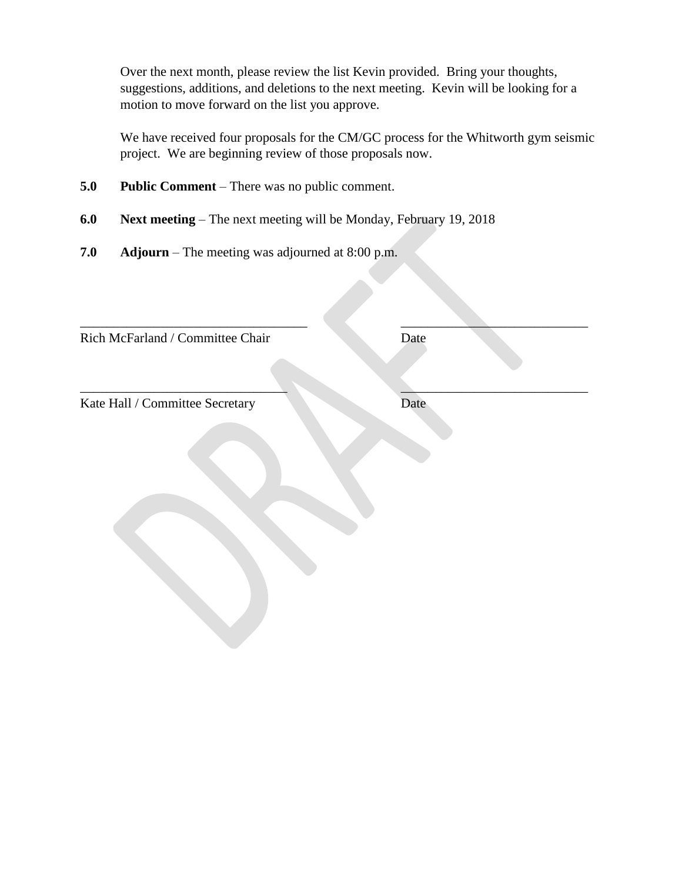Over the next month, please review the list Kevin provided. Bring your thoughts, suggestions, additions, and deletions to the next meeting. Kevin will be looking for a motion to move forward on the list you approve.

We have received four proposals for the CM/GC process for the Whitworth gym seismic project. We are beginning review of those proposals now.

 $\overline{\phantom{a}}$  , and the contract of the contract of the contract of the contract of the contract of the contract of the contract of the contract of the contract of the contract of the contract of the contract of the contrac

 $\qquad \qquad \blacksquare$ 

- **5.0 Public Comment** There was no public comment.
- **6.0 Next meeting** The next meeting will be Monday, February 19, 2018
- **7.0 Adjourn**  The meeting was adjourned at 8:00 p.m.

Rich McFarland / Committee Chair Date

Kate Hall / Committee Secretary Date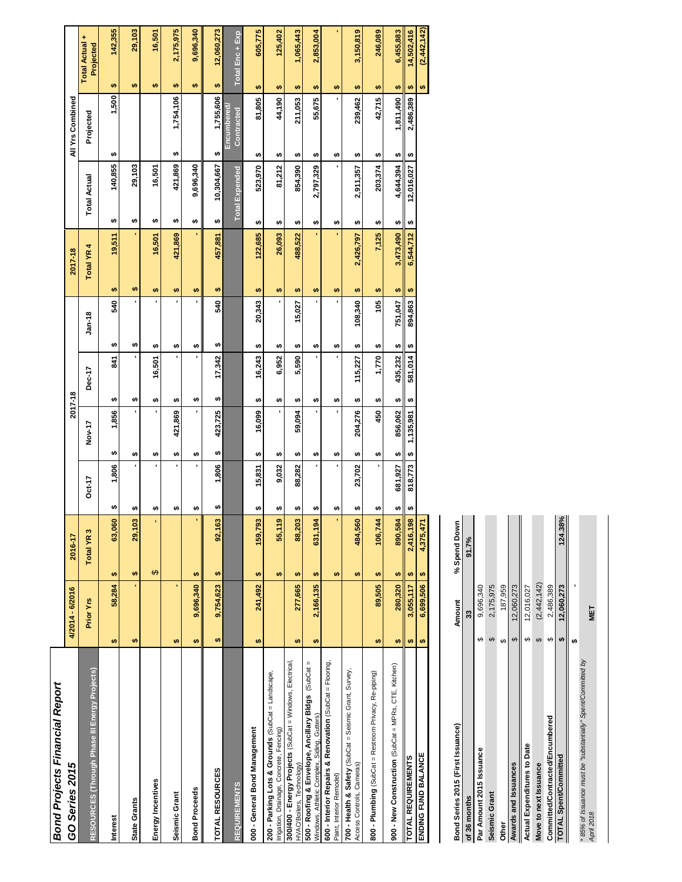| <b>Bond Projects Financial Report</b>                                                              |                 |                                |                                  |                |              |                              |                       |                       |                          |           |                             |
|----------------------------------------------------------------------------------------------------|-----------------|--------------------------------|----------------------------------|----------------|--------------|------------------------------|-----------------------|-----------------------|--------------------------|-----------|-----------------------------|
| GO Series 2015                                                                                     | 4/2014 - 6/2016 | 2016-17                        |                                  |                | 2017-18      |                              | 2017-18               |                       | All Yrs Combined         |           |                             |
| RESOURCES (Through Phase III Energy Projects)                                                      | Prior Yrs       | Total YR <sub>3</sub>          | Oct-17                           | Nov-17         | Dec-17       | $Jan-18$                     | Total YR <sub>4</sub> | <b>Total Actual</b>   | Projected                |           | Total Actual +<br>Projected |
| <b>Interest</b>                                                                                    | 58,284<br>₩     | 63,060<br><b>SA</b>            | 1,806<br>th,                     | 1,856<br>tĄ,   | 541<br>₩     | 540<br>₩                     | 19,511<br>÷           | 140,855<br>₩          | 1,500<br>₩               | <b>SA</b> | 142,355                     |
| <b>State Grants</b>                                                                                | ₩               | 29,103<br>₩                    | ı<br>₩                           | ,<br>H         | ₩            | ₩                            | ₩                     | 29,103<br>₩           |                          | ₩         | 29,103                      |
| Energy Incentives                                                                                  |                 | ٠<br>$\Theta$                  | ٠<br>ŧθ                          | H              | 16,501<br>₩  | ₩                            | 16,501<br>₩           | 16,501<br>₩           |                          | $\bullet$ | 16,501                      |
| Seismic Grant                                                                                      | ï<br>$\bullet$  |                                | ٠<br>₩                           | 421,869<br>₩   | ï<br>₩       | ₩                            | 421,869<br>₩          | 421,869<br>₩          | 1,754,106<br>₩           | ₩         | 2,175,975                   |
| <b>Bond Proceeds</b>                                                                               | 9,696,340<br>₩  | ı,<br>₩                        | ı<br>₩                           | ı<br>₩         | ı<br>₩       | ₩                            | ₩                     | 9,696,340<br>₩        |                          | ₩         | 9,696,340                   |
| TOTAL RESOURCES                                                                                    | 9,754,623<br>₩  | 92,163<br>$\leftrightarrow$    | 1,806<br>₩                       | 423,725<br>₩   | 17,342<br>↮  | 540<br>$\boldsymbol{\theta}$ | 457,881<br>₩          | 10,304,667<br>₩       | 1,755,606<br>₩           | ₩         | 12,060,273                  |
| <b>REQUIREMENTS</b>                                                                                |                 |                                |                                  |                |              |                              |                       | <b>Total Expended</b> | Encumbered<br>Contracted |           | Total Enc + Exp             |
| 000 - General Bond Management                                                                      | 241,492<br>₩    | 159,793<br><b>SA</b>           | 15,831<br>₩                      | 16,099<br>H    | 16,243<br>H  | 20,343<br>₩                  | 122,685<br>₩          | 523,970<br>₩          | 81,805<br>H)             | ₩         | 605,775                     |
| 200 - Parking Lots & Grounds (SubCat = Landscape,<br>Irrigation, Drainage, Concrete, Fencing)      |                 | o,<br>55,11<br>÷               | 9,032<br>ŧθ                      | ı<br>₩         | 6,952<br>ŧθ  | ₩                            | 26,093<br>₩           | 81,212<br>₩           | 44,190<br>₩              | H         | 125,402                     |
| 300/400 - Energy Projects (SubCat = Windows, Electrical,<br>HVAC/Boilers, Technology)              | 277,665<br>₩    | 88,203<br>₩                    | 88,282<br>₩                      | 59,094<br>H    | 5,590<br>₩   | 15,027<br>₩                  | 488,522<br>÷          | 854,390<br>₩          | 211,053<br>₩             | ÷         | 1,065,443                   |
| 500 - Roofing & Envelope, Ancillary Bldgs (SubCat =<br>Windows, Athletic Complex, Siding, Gutters) | 2,166,135<br>₩  | 631,194<br>₩                   | ı<br>₩                           | ı<br>₩         | ï<br>₩       | ₩                            | ٠<br>₩                | 2,797,329<br>₩        | 55,675<br>₩              | ₩         | 2,853,004                   |
| 600 - Interior Repairs & Renovation (SubCat = Flooring,<br>Paint, Interior Remodel)                |                 | ¥,<br>$\bullet$                | í,<br>₩                          | ↮              | í,<br>₩      | ↮                            | ₩                     | ↮                     | ₩                        | ₩<br>ı.   | ı                           |
| 700 - Health & Safety (SubCat = Seismic Grant, Survey,<br>Access Controls, Cameras)                |                 | 484,560<br>₩                   | 23,702<br>₩                      | 204,276<br>₩   | 115,227<br>Ø | 108,340<br>₩                 | 2,426,797<br>₩        | 2,911,357<br>₩        | 239,462<br>₩             | ₩         | 3,150,819                   |
| 800 - Plumbing (SubCat = Restroom Privacy, Re-piping)                                              | 89,505<br>Ø     | 106,744<br>Ø                   | ı<br>₩                           | 450<br>₩       | 1,770<br>₩   | 105<br>₩                     | 7,125<br>₩            | 203,374<br>↮          | 42,715<br>₩              | ₩         | 246,089                     |
| 900 - New Construction (SubCat = MPRs, CTE, Kitchen)                                               | 280,320<br>₩    | 890,584<br>₩                   | 681,927<br>₩                     | 856,062<br>H   | 435,232<br>₩ | 751,047<br>₩                 | 3,473,490<br>Ø        | 4,644,394<br>₩        | 1,811,490<br>₩           | Ø         | 6,455,883                   |
| <b>TOTAL REQUIREMENTS</b>                                                                          | 3,055,117<br>₩  | 2,416,198<br>$\leftrightarrow$ | 818,773<br>$\boldsymbol{\omega}$ | 1,135,981<br>₩ | 581,014<br>₩ | 894,863<br>₩                 | 6,544,712<br>₩        | 12,016,027<br>₩       | 2,486,389<br>₩           | <b>SA</b> | 14,502,416                  |
| <b>ENDING FUND BALANCE</b>                                                                         | 6,699,506<br>₩  | 4,375,471<br>tĄ                |                                  |                |              |                              |                       |                       |                          | ₩         | (2, 442, 142)               |
|                                                                                                    |                 |                                |                                  |                |              |                              |                       |                       |                          |           |                             |

| Bond Series 2015 (First Issuance)                                          |     | Amount      | % Spend Down |
|----------------------------------------------------------------------------|-----|-------------|--------------|
| of 36 months                                                               |     | 33          | 91.7%        |
| Par Amount 2015 Issuance                                                   |     | 9,696,340   |              |
| Seismic Grant                                                              |     | 2,175,975   |              |
| <b>Other</b>                                                               |     | 187,959     |              |
| Awards and Issuances                                                       | tf. | 12,060,273  |              |
| Actual Expenditures to Date                                                |     | 12,016,027  |              |
| Move to next Issuance                                                      |     | (2,442,142) |              |
| Committed/Contracted/Encumbered                                            |     | 2,486,389   |              |
| TOTAL Spent/Committed                                                      |     | 12.060.273  | 124.38%      |
|                                                                            |     |             |              |
| * 85% of Issuance must be "substantially" Spent/Committed by<br>April 2018 |     | NET         |              |
|                                                                            |     |             |              |